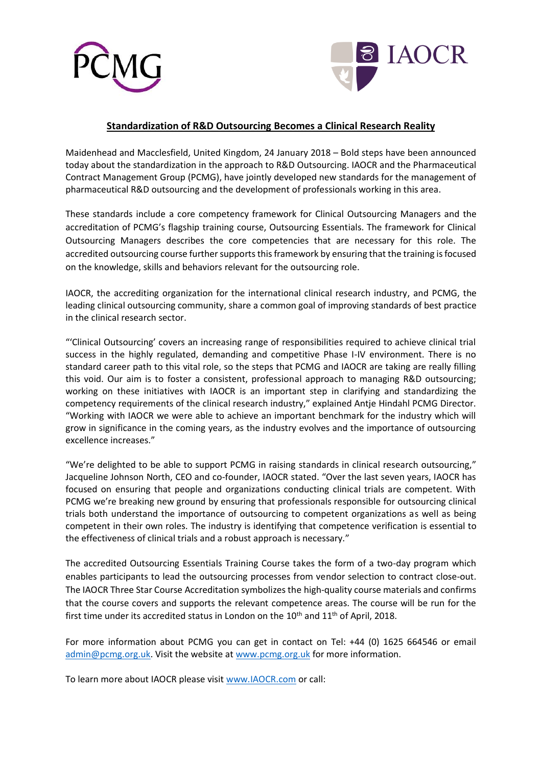



## **Standardization of R&D Outsourcing Becomes a Clinical Research Reality**

Maidenhead and Macclesfield, United Kingdom, 24 January 2018 – Bold steps have been announced today about the standardization in the approach to R&D Outsourcing. IAOCR and the Pharmaceutical Contract Management Group (PCMG), have jointly developed new standards for the management of pharmaceutical R&D outsourcing and the development of professionals working in this area.

These standards include a core competency framework for Clinical Outsourcing Managers and the accreditation of PCMG's flagship training course, Outsourcing Essentials. The framework for Clinical Outsourcing Managers describes the core competencies that are necessary for this role. The accredited outsourcing course further supports this framework by ensuring that the training is focused on the knowledge, skills and behaviors relevant for the outsourcing role.

IAOCR, the accrediting organization for the international clinical research industry, and PCMG, the leading clinical outsourcing community, share a common goal of improving standards of best practice in the clinical research sector.

"'Clinical Outsourcing' covers an increasing range of responsibilities required to achieve clinical trial success in the highly regulated, demanding and competitive Phase I-IV environment. There is no standard career path to this vital role, so the steps that PCMG and IAOCR are taking are really filling this void. Our aim is to foster a consistent, professional approach to managing R&D outsourcing; working on these initiatives with IAOCR is an important step in clarifying and standardizing the competency requirements of the clinical research industry," explained Antje Hindahl PCMG Director. "Working with IAOCR we were able to achieve an important benchmark for the industry which will grow in significance in the coming years, as the industry evolves and the importance of outsourcing excellence increases."

"We're delighted to be able to support PCMG in raising standards in clinical research outsourcing," Jacqueline Johnson North, CEO and co-founder, IAOCR stated. "Over the last seven years, IAOCR has focused on ensuring that people and organizations conducting clinical trials are competent. With PCMG we're breaking new ground by ensuring that professionals responsible for outsourcing clinical trials both understand the importance of outsourcing to competent organizations as well as being competent in their own roles. The industry is identifying that competence verification is essential to the effectiveness of clinical trials and a robust approach is necessary."

The accredited Outsourcing Essentials Training Course takes the form of a two-day program which enables participants to lead the outsourcing processes from vendor selection to contract close-out. The IAOCR Three Star Course Accreditation symbolizes the high-quality course materials and confirms that the course covers and supports the relevant competence areas. The course will be run for the first time under its accredited status in London on the  $10<sup>th</sup>$  and  $11<sup>th</sup>$  of April, 2018.

For more information about PCMG you can get in contact on Tel: +44 (0) 1625 664546 or email [admin@pcmg.org.uk.](mailto:admin@pcmg.org.uk) Visit the website at [www.pcmg.org.uk](http://www.pcmg.org.uk/) for more information.

To learn more about IAOCR please visit [www.IAOCR.com](http://www.iaocr.com/) or call: